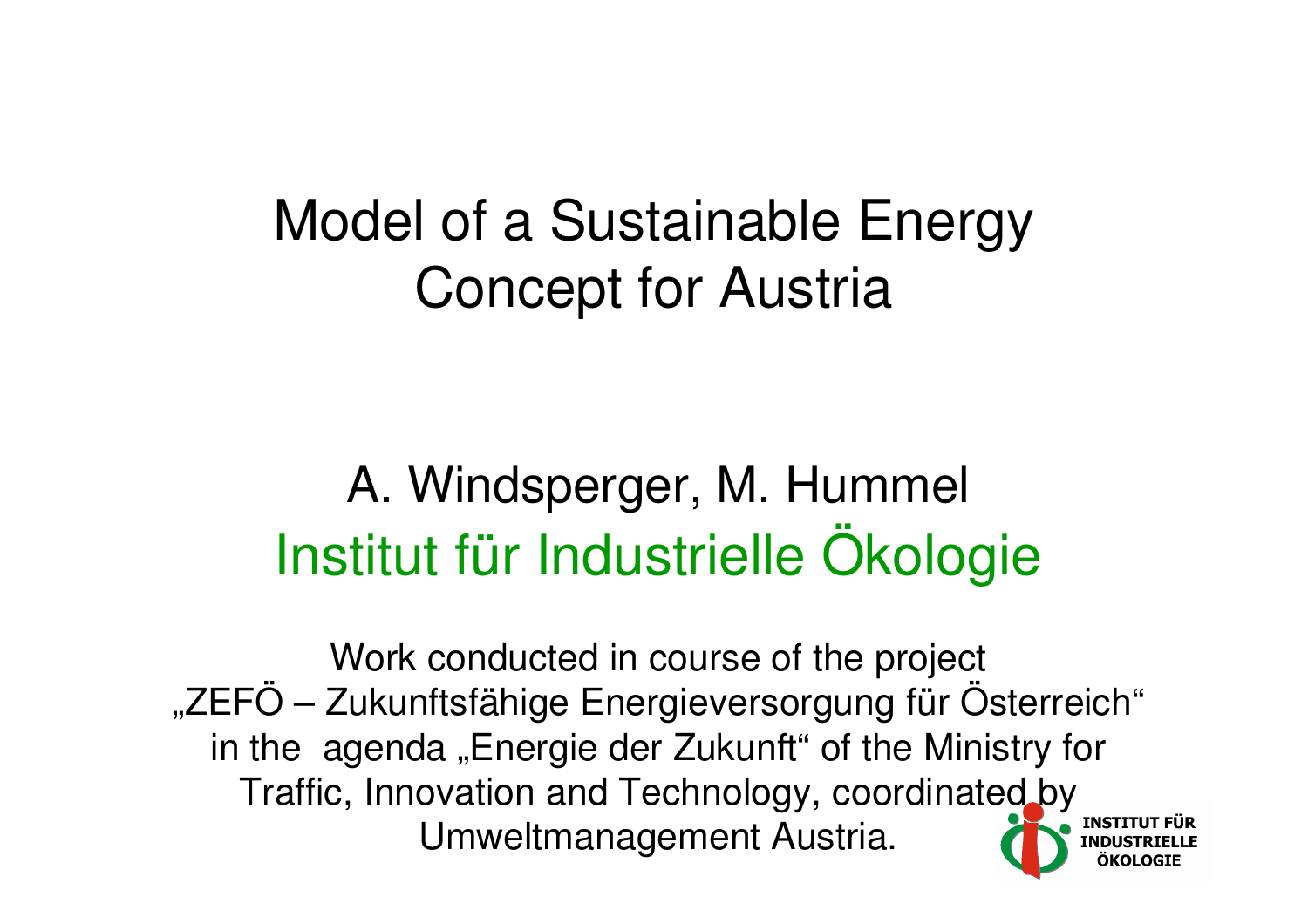#### Model of a Sustainable EnergyConcept for Austria

#### A. Windsperger, M. HummelInstitut für Industrielle Ökologie

Work conducted in course of the project "ZEFÖ – Zukunftsfähige Energieversorgung für Österreich"in the agenda "Energie der Zukunft" of the Ministry for Traffic, Innovation and Technology, coordinated byUmweltmanagement Austria.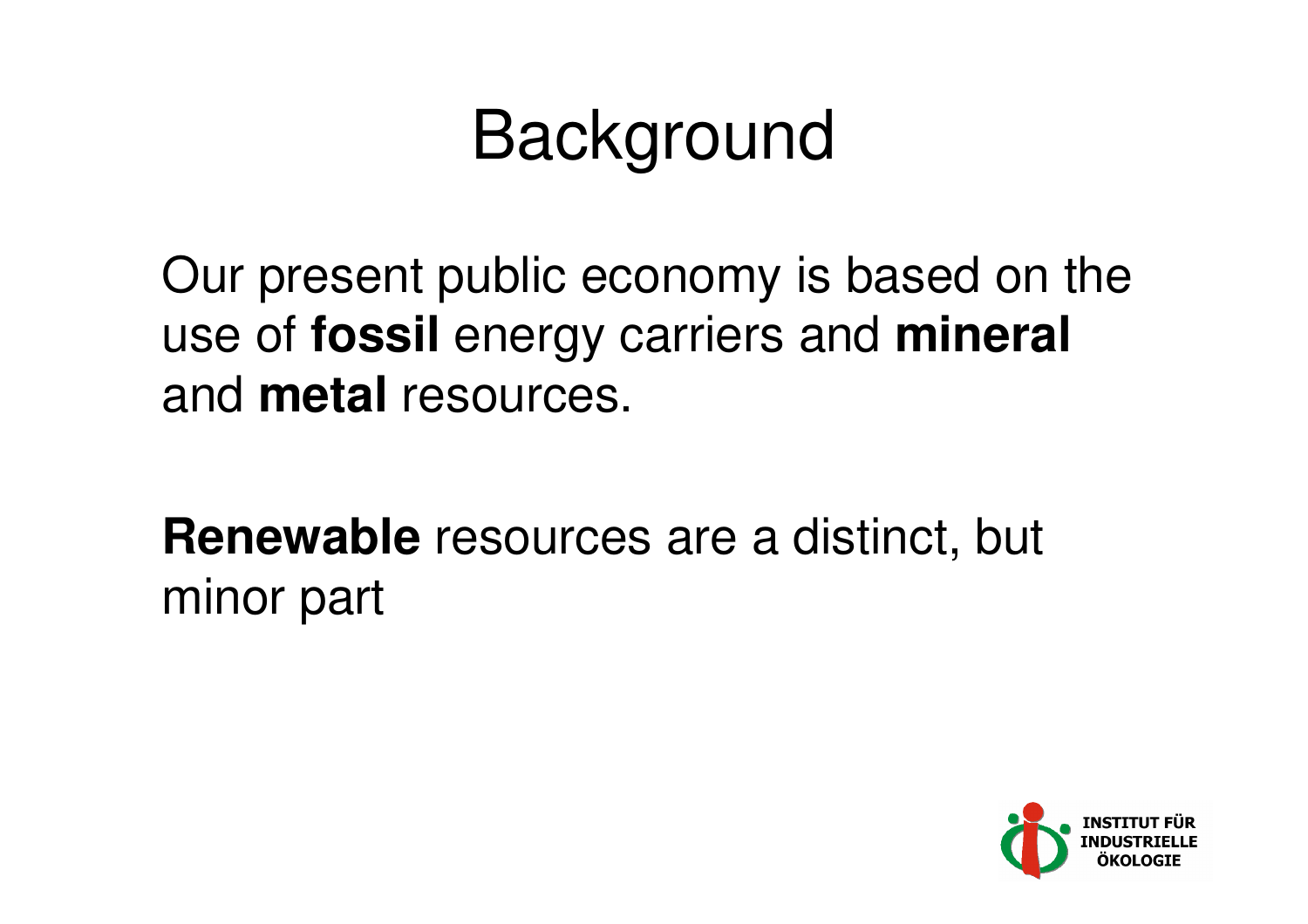# Background

Our present public economy is based on theuse of **fossil** energy carriers and **mineral** and **metal** resources.

**Renewable** resources are a distinct, but minor part

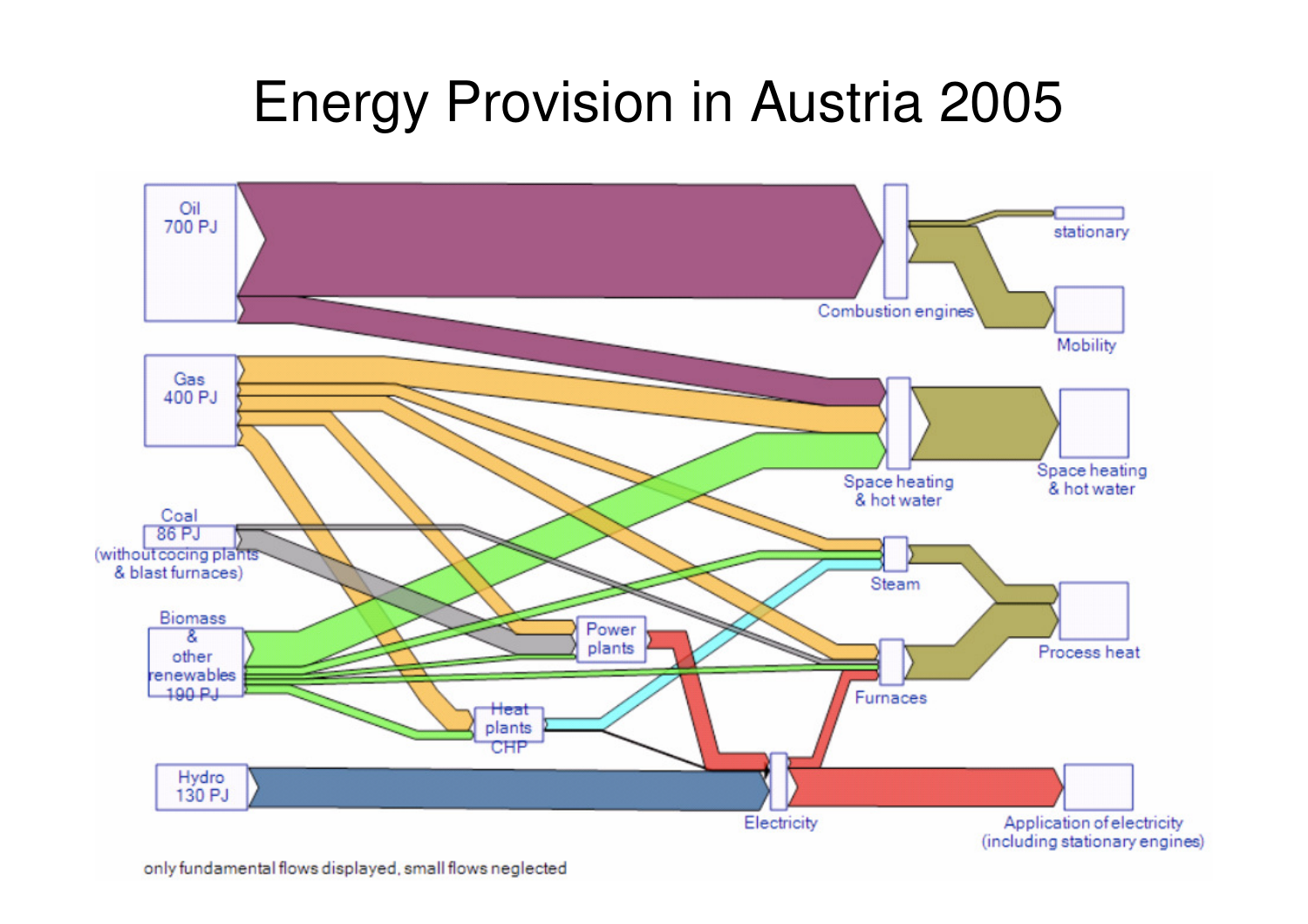#### Energy Provision in Austria 2005

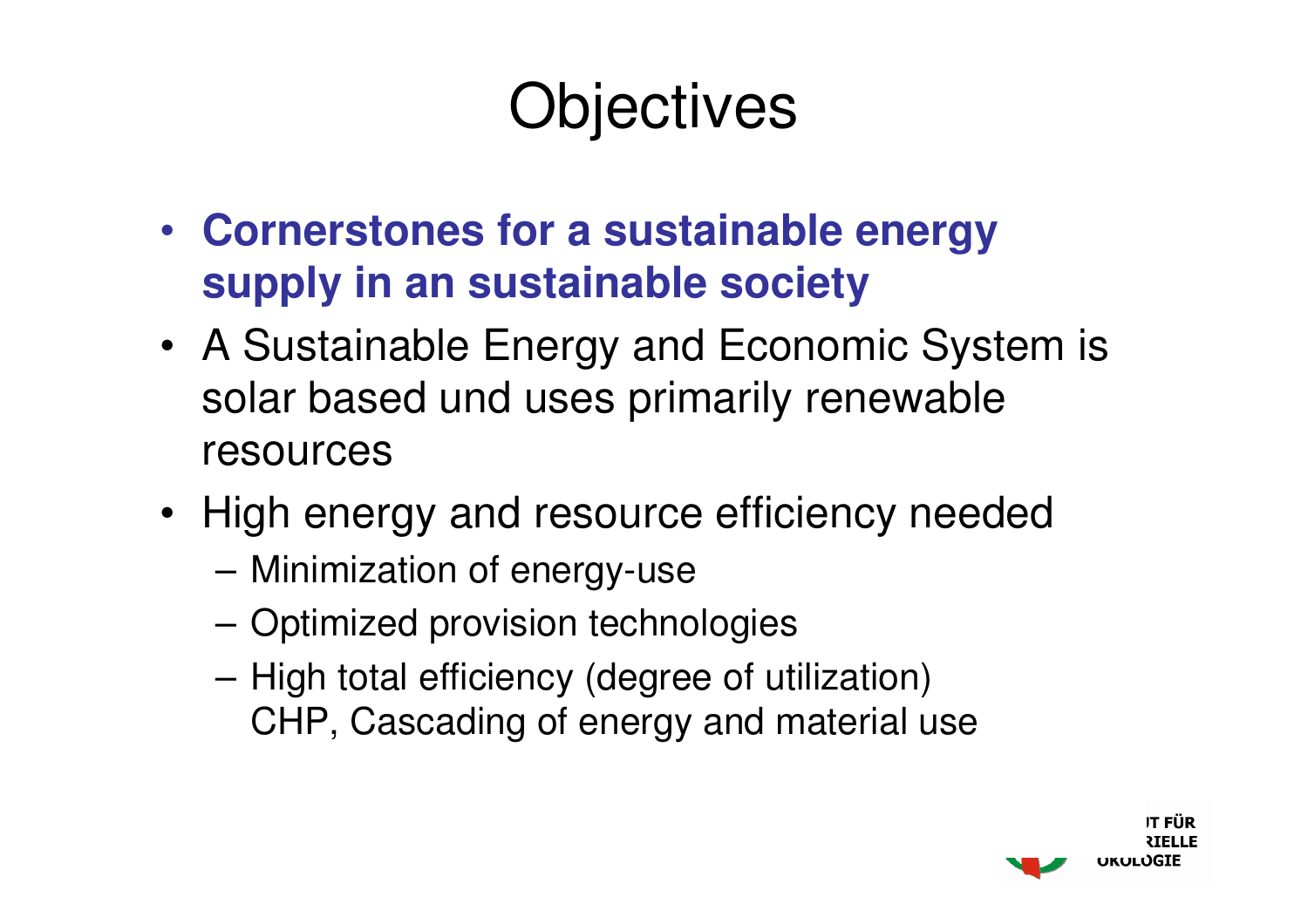### **Objectives**

- **Cornerstones for a sustainable energysupply in an sustainable society**
- A Sustainable Energy and Economic System is solar based und uses primarily renewable resources
- High energy and resource efficiency needed
	- Minimization of energy-use
	- Optimized provision technologies
	- High total efficiency (degree of utilization)CHP, Cascading of energy and material use

IT FIÎR ukuluGIE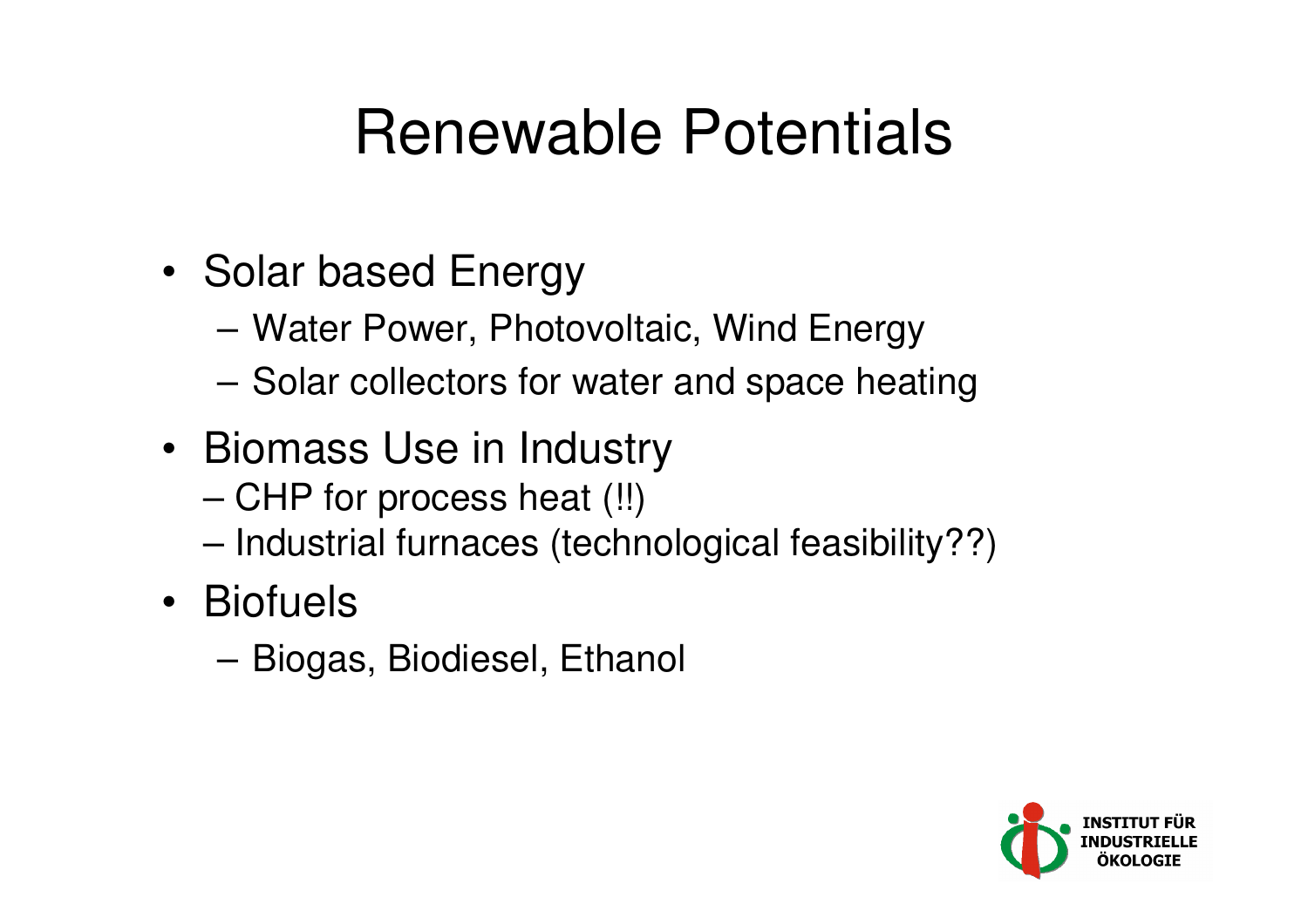### Renewable Potentials

- Solar based Energy
	- –Water Power, Photovoltaic, Wind Energy
	- –Solar collectors for water and space heating
- Biomass Use in Industry
	- –CHP for process heat (!!)
	- –Industrial furnaces (technological feasibility??)
- Biofuels
	- –Biogas, Biodiesel, Ethanol

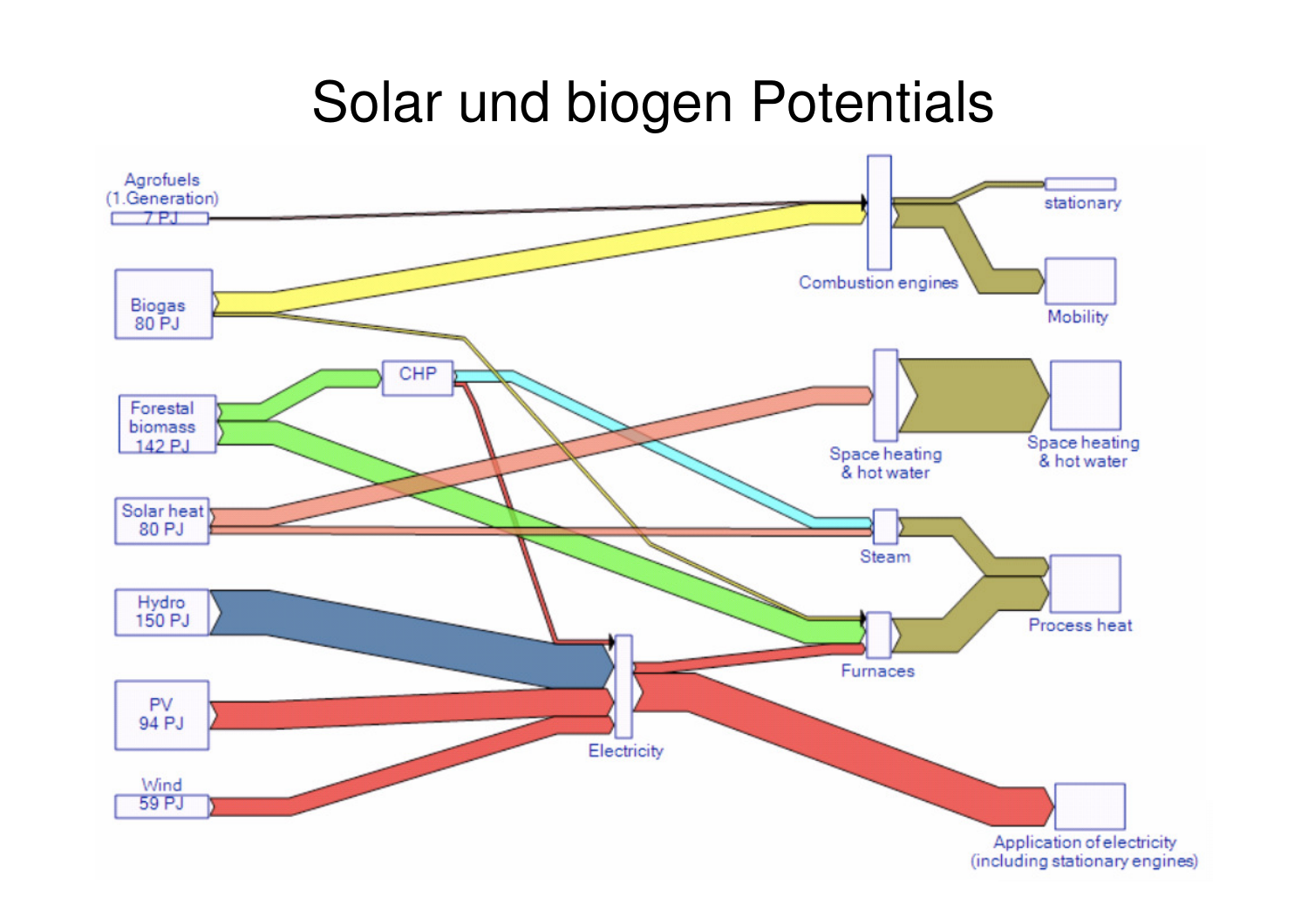#### Solar und biogen Potentials

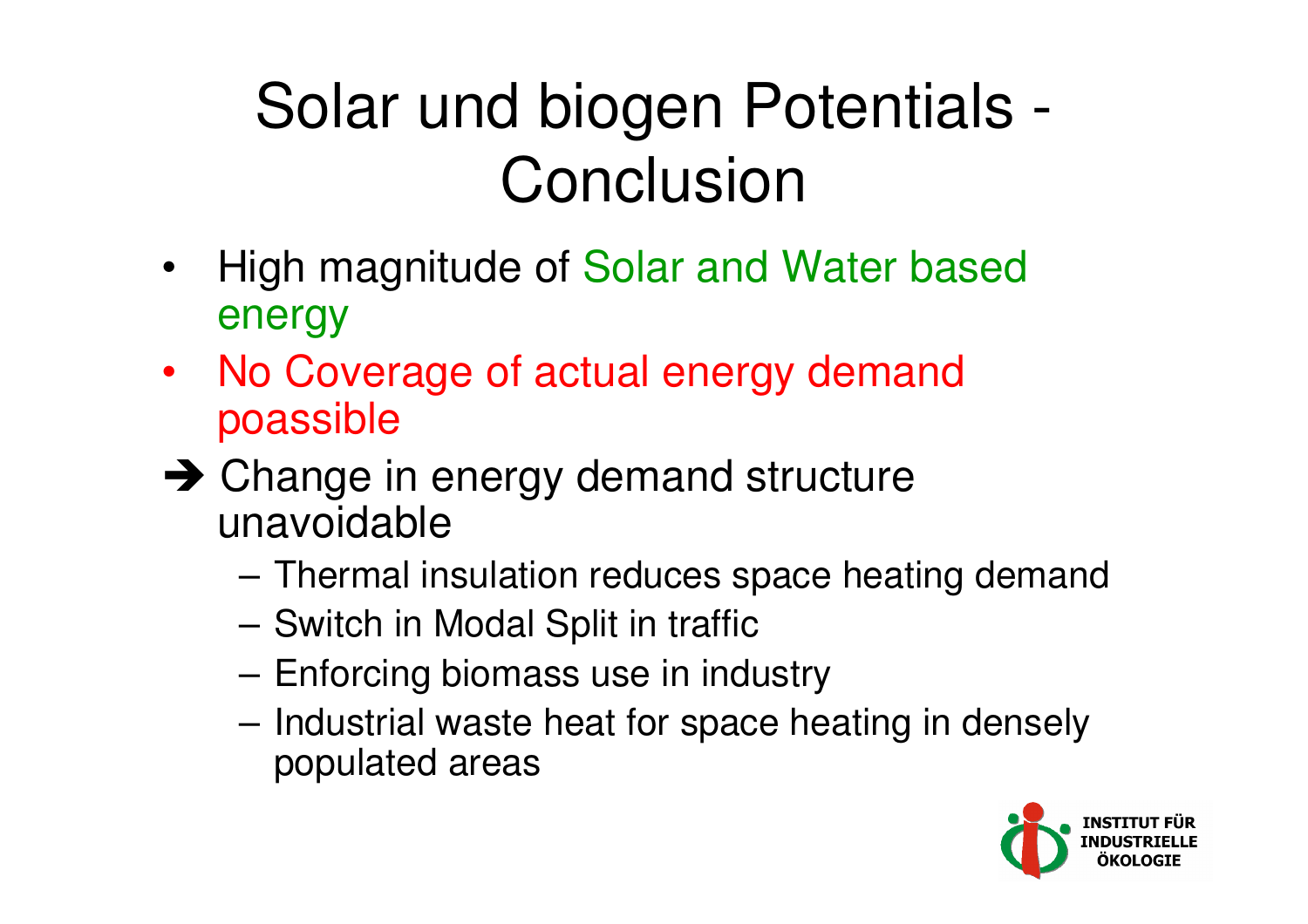### Solar und biogen Potentials -**Conclusion**

- $\bullet$  High magnitude of Solar and Water basedenergy
- No Coverage of actual energy demandpoassible
- → Change in energy demand structure<br>unavoidable unavoidable
	- –Thermal insulation reduces space heating demand
	- Switch in Modal Split in traffic
	- Enforcing biomass use in industry
	- Industrial waste heat for space heating in denselypopulated areas

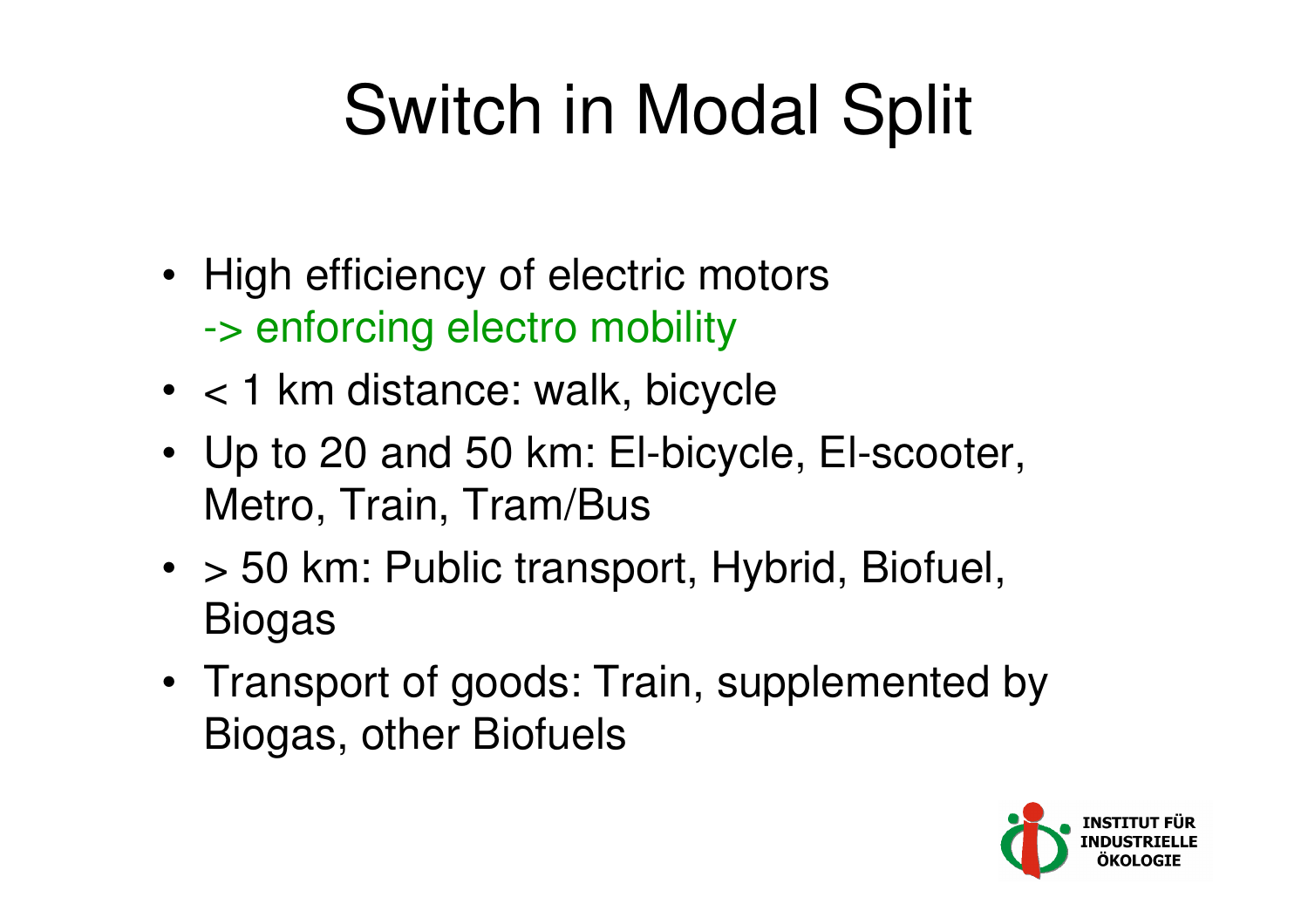# Switch in Modal Split

- High efficiency of electric motors-> enforcing electro mobility
- < 1 km distance: walk, bicycle
- Up to 20 and 50 km: El-bicycle, El-scooter, Metro, Train, Tram/Bus
- > 50 km: Public transport, Hybrid, Biofuel, Biogas
- Transport of goods: Train, supplemented byBiogas, other Biofuels

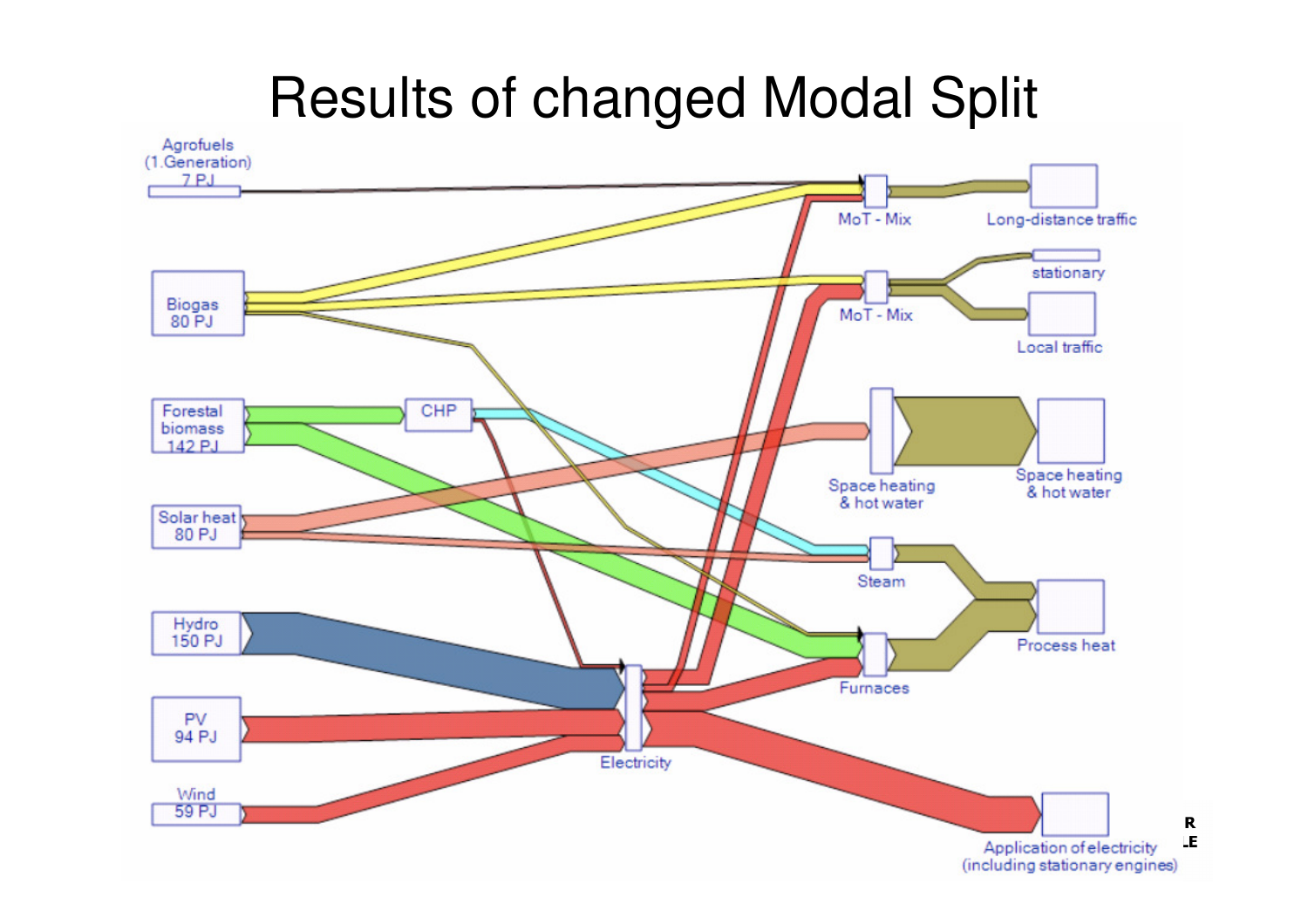#### Results of changed Modal Split



 $\mathbf R$ LE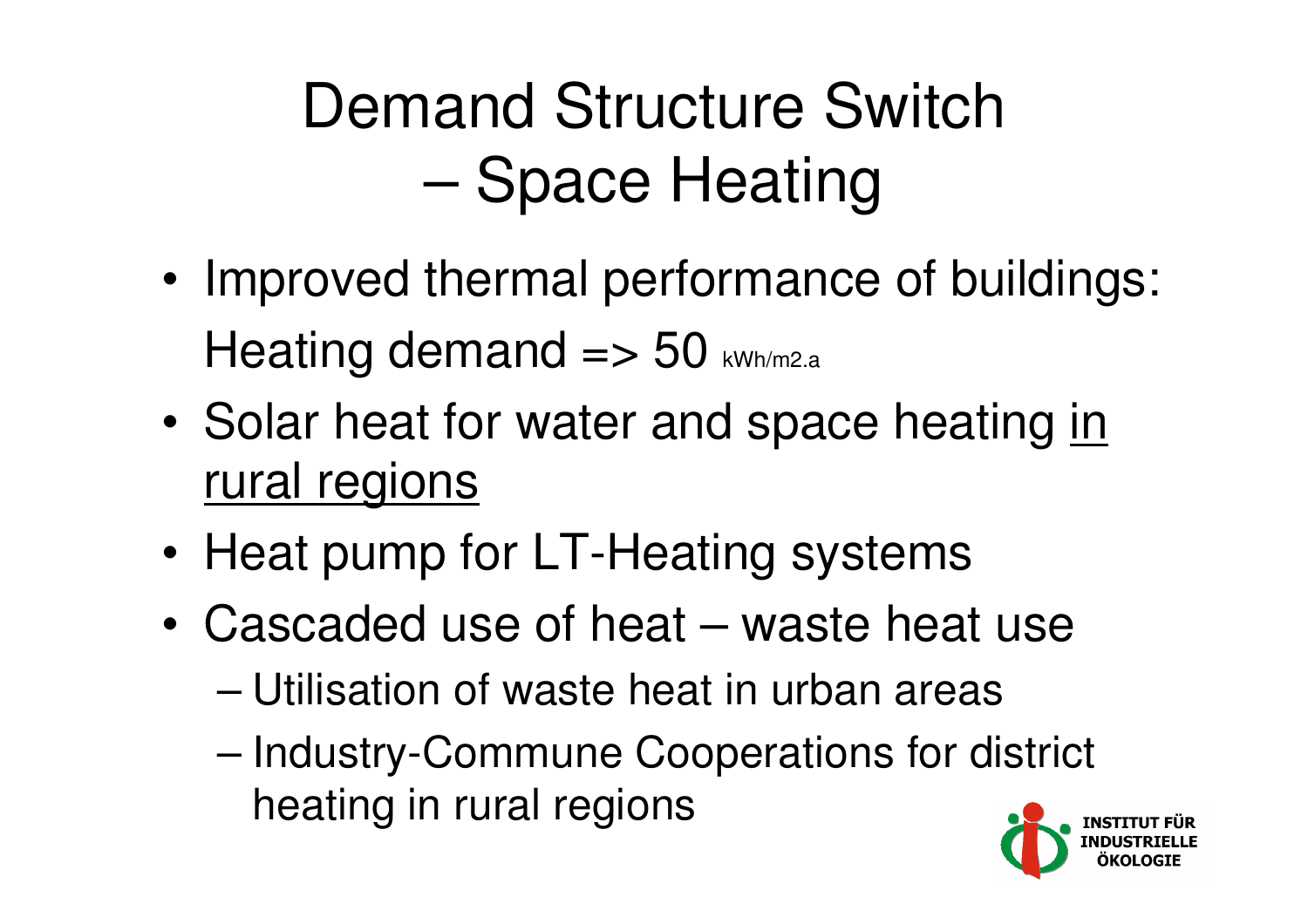## Demand Structure SwitchSpace Heating

- • Improved thermal performance of buildings: Heating demand  $\Rightarrow$  50 kWh/m2.a
- •Solar heat for water and space heating in rural regions
- •Heat pump for LT-Heating systems
- • Cascaded use of heat – waste heat use
	- –Utilisation of waste heat in urban areas
	- – Industry-Commune Cooperations for district heating in rural regions

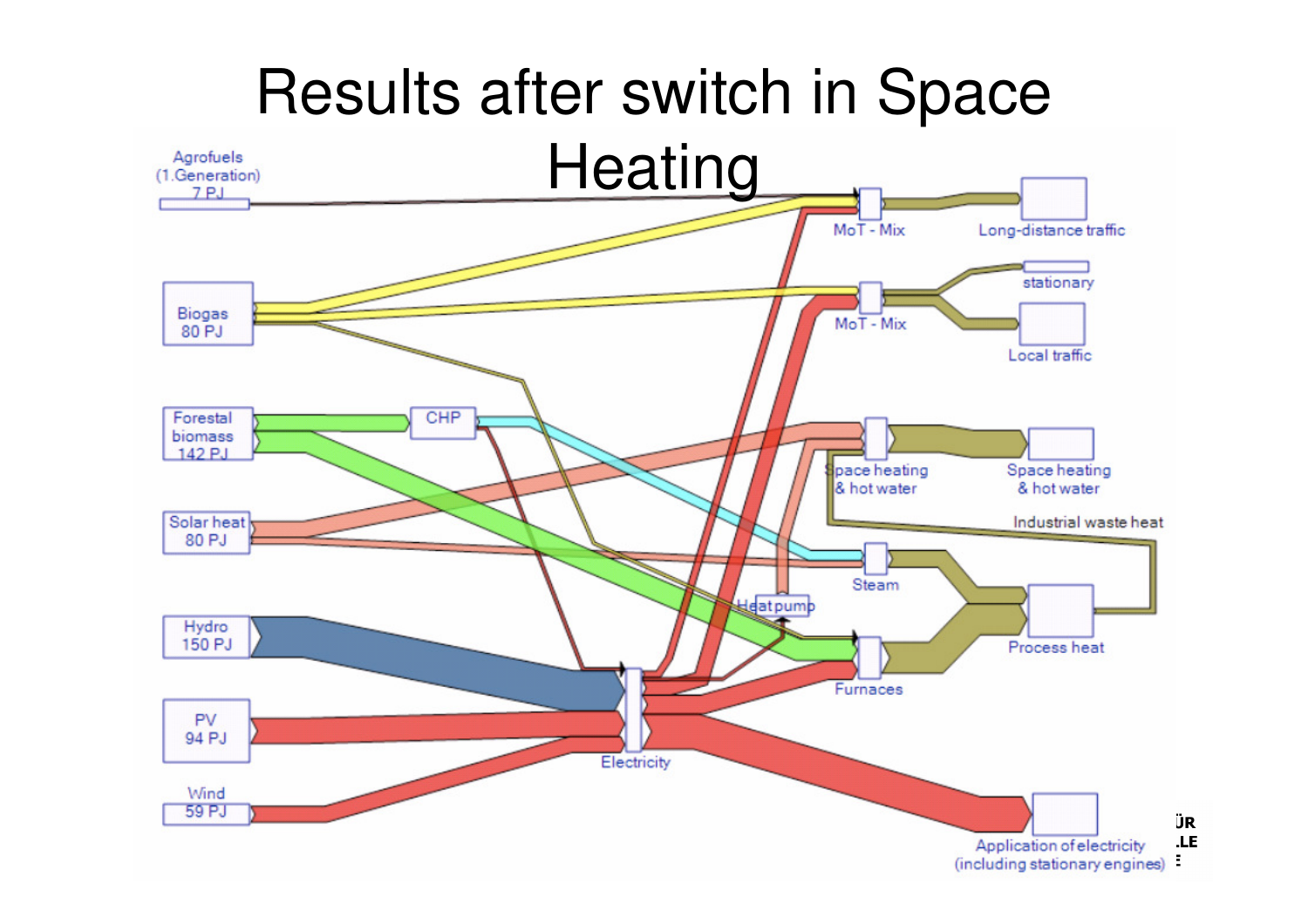### Results after switch in Space